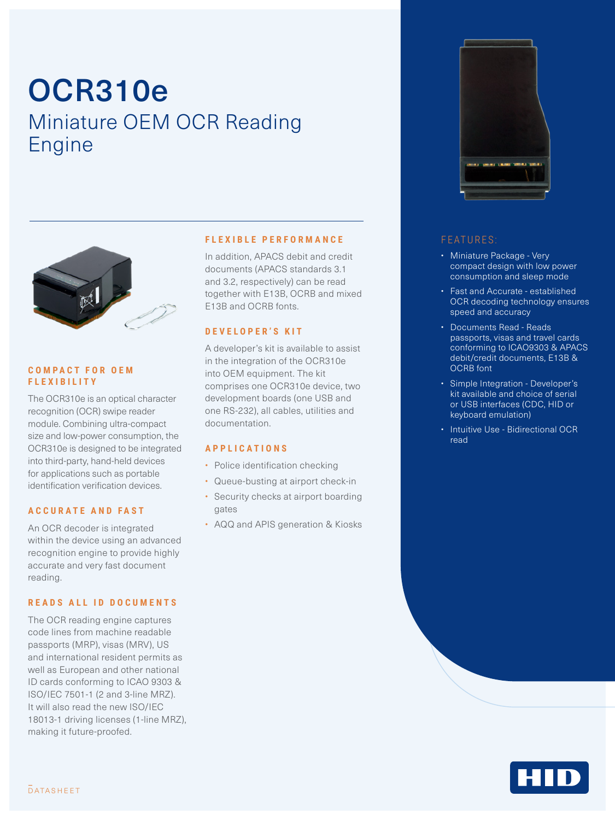# OCR310e Miniature OEM OCR Reading Engine



#### **C O M P A C T F O R O E M FLEXIBILITY**

The OCR310e is an optical character recognition (OCR) swipe reader module. Combining ultra-compact size and low-power consumption, the OCR310e is designed to be integrated into third-party, hand-held devices for applications such as portable identification verification devices.

#### **ACCURATE AND FAST**

An OCR decoder is integrated within the device using an advanced recognition engine to provide highly accurate and very fast document reading.

#### **READS ALL ID DOCUMENTS**

The OCR reading engine captures code lines from machine readable passports (MRP), visas (MRV), US and international resident permits as well as European and other national ID cards conforming to ICAO 9303 & ISO/IEC 7501-1 (2 and 3-line MRZ). It will also read the new ISO/IEC 18013-1 driving licenses (1-line MRZ), making it future-proofed.

#### **FLEXIBLE PERFORMANCE**

In addition, APACS debit and credit documents (APACS standards 3.1 and 3.2, respectively) can be read together with E13B, OCRB and mixed E13B and OCRB fonts.

#### **DEVELOPER'S KIT**

A developer's kit is available to assist in the integration of the OCR310e into OEM equipment. The kit comprises one OCR310e device, two development boards (one USB and one RS-232), all cables, utilities and documentation.

#### **APPLICATIONS**

- Police identification checking
- Queue-busting at airport check-in
- Security checks at airport boarding gates
- AQQ and APIS generation & Kiosks



### FEATURES:

- Miniature Package Very compact design with low power consumption and sleep mode
- Fast and Accurate established OCR decoding technology ensures speed and accuracy
- Documents Read Reads passports, visas and travel cards conforming to ICAO9303 & APACS debit/credit documents, E13B & OCRB font
- Simple Integration Developer's kit available and choice of serial or USB interfaces (CDC, HID or keyboard emulation)
- Intuitive Use Bidirectional OCR read